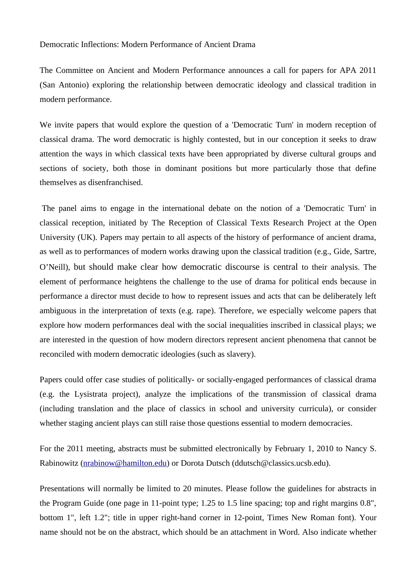## Democratic Inflections: Modern Performance of Ancient Drama

The Committee on Ancient and Modern Performance announces a call for papers for APA 2011 (San Antonio) exploring the relationship between democratic ideology and classical tradition in modern performance.

We invite papers that would explore the question of a 'Democratic Turn' in modern reception of classical drama. The word democratic is highly contested, but in our conception it seeks to draw attention the ways in which classical texts have been appropriated by diverse cultural groups and sections of society, both those in dominant positions but more particularly those that define themselves as disenfranchised.

The panel aims to engage in the international debate on the notion of a 'Democratic Turn' in classical reception, initiated by The Reception of Classical Texts Research Project at the Open University (UK). Papers may pertain to all aspects of the history of performance of ancient drama, as well as to performances of modern works drawing upon the classical tradition (e.g., Gide, Sartre, O'Neill), but should make clear how democratic discourse is central to their analysis. The element of performance heightens the challenge to the use of drama for political ends because in performance a director must decide to how to represent issues and acts that can be deliberately left ambiguous in the interpretation of texts (e.g. rape). Therefore, we especially welcome papers that explore how modern performances deal with the social inequalities inscribed in classical plays; we are interested in the question of how modern directors represent ancient phenomena that cannot be reconciled with modern democratic ideologies (such as slavery).

Papers could offer case studies of politically- or socially-engaged performances of classical drama (e.g. the Lysistrata project), analyze the implications of the transmission of classical drama (including translation and the place of classics in school and university curricula), or consider whether staging ancient plays can still raise those questions essential to modern democracies.

For the 2011 meeting, abstracts must be submitted electronically by February 1, 2010 to Nancy S. Rabinowitz [\(nrabinow@hamilton.edu\)](mailto:nrabinow@hamilton.edu) or Dorota Dutsch (ddutsch@classics.ucsb.edu).

Presentations will normally be limited to 20 minutes. Please follow the guidelines for abstracts in the Program Guide (one page in 11-point type; 1.25 to 1.5 line spacing; top and right margins 0.8", bottom 1", left 1.2"; title in upper right-hand corner in 12-point, Times New Roman font). Your name should not be on the abstract, which should be an attachment in Word. Also indicate whether